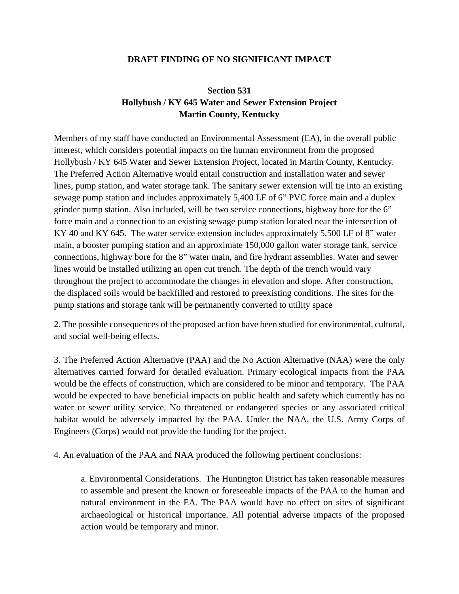## **DRAFT FINDING OF NO SIGNIFICANT IMPACT**

## **Section 531 Hollybush / KY 645 Water and Sewer Extension Project Martin County, Kentucky**

Members of my staff have conducted an Environmental Assessment (EA), in the overall public interest, which considers potential impacts on the human environment from the proposed Hollybush / KY 645 Water and Sewer Extension Project, located in Martin County, Kentucky. The Preferred Action Alternative would entail construction and installation water and sewer lines, pump station, and water storage tank. The sanitary sewer extension will tie into an existing sewage pump station and includes approximately 5,400 LF of 6" PVC force main and a duplex grinder pump station. Also included, will be two service connections, highway bore for the 6" force main and a connection to an existing sewage pump station located near the intersection of KY 40 and KY 645. The water service extension includes approximately 5,500 LF of 8" water main, a booster pumping station and an approximate 150,000 gallon water storage tank, service connections, highway bore for the 8" water main, and fire hydrant assemblies. Water and sewer lines would be installed utilizing an open cut trench. The depth of the trench would vary throughout the project to accommodate the changes in elevation and slope. After construction, the displaced soils would be backfilled and restored to preexisting conditions. The sites for the pump stations and storage tank will be permanently converted to utility space

2. The possible consequences of the proposed action have been studied for environmental, cultural, and social well-being effects.

3. The Preferred Action Alternative (PAA) and the No Action Alternative (NAA) were the only alternatives carried forward for detailed evaluation. Primary ecological impacts from the PAA would be the effects of construction, which are considered to be minor and temporary. The PAA would be expected to have beneficial impacts on public health and safety which currently has no water or sewer utility service. No threatened or endangered species or any associated critical habitat would be adversely impacted by the PAA. Under the NAA, the U.S. Army Corps of Engineers (Corps) would not provide the funding for the project.

4. An evaluation of the PAA and NAA produced the following pertinent conclusions:

a. Environmental Considerations. The Huntington District has taken reasonable measures to assemble and present the known or foreseeable impacts of the PAA to the human and natural environment in the EA. The PAA would have no effect on sites of significant archaeological or historical importance. All potential adverse impacts of the proposed action would be temporary and minor.